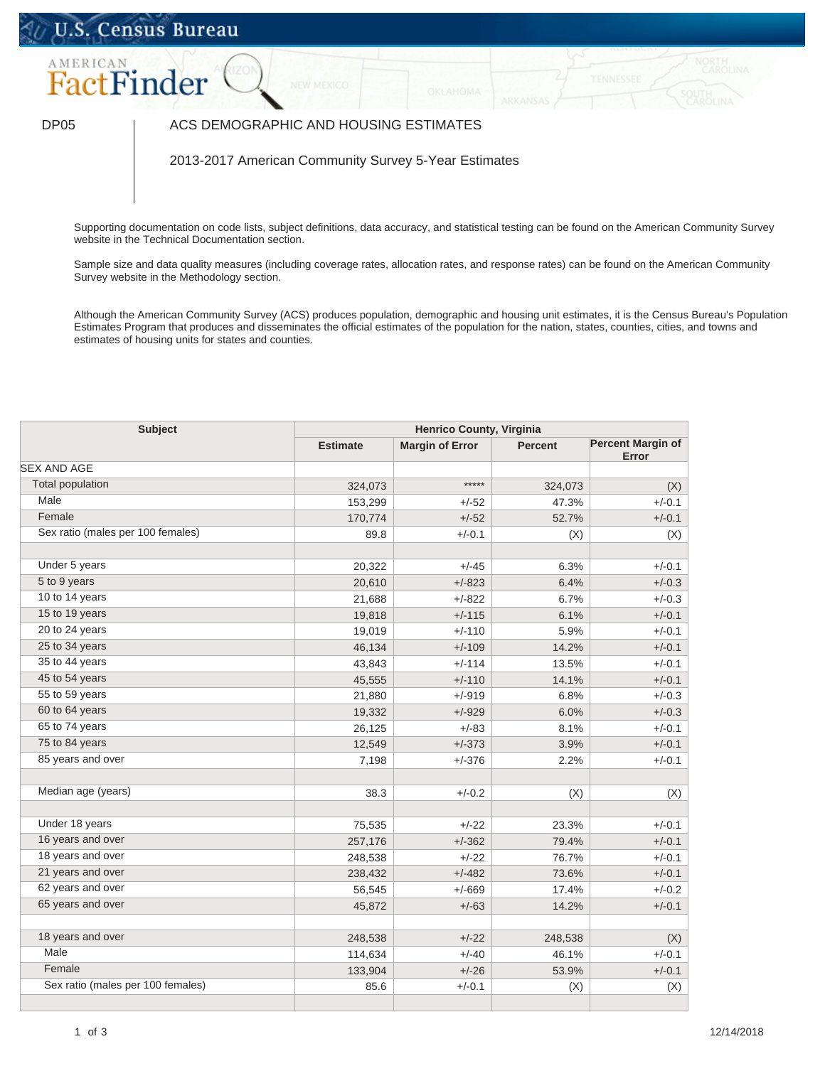## U.S. Census Bureau



## DP05 | ACS DEMOGRAPHIC AND HOUSING ESTIMATES

2013-2017 American Community Survey 5-Year Estimates

Supporting documentation on code lists, subject definitions, data accuracy, and statistical testing can be found on the American Community Survey website in the [Technical Documentation](https://www.census.gov/programs-surveys/acs/technical-documentation/code-lists.html) section.

Sample size and data quality measures (including coverage rates, allocation rates, and response rates) can be found on the American Community Survey website in the [Methodology](https://www.census.gov/acs/www/methodology/sample_size_and_data_quality/) section.

Although the American Community Survey (ACS) produces population, demographic and housing unit estimates, it is the Census Bureau's Population Estimates Program that produces and disseminates the official estimates of the population for the nation, states, counties, cities, and towns and estimates of housing units for states and counties.

| <b>Subject</b>                    | <b>Henrico County, Virginia</b> |                        |                |                                   |
|-----------------------------------|---------------------------------|------------------------|----------------|-----------------------------------|
|                                   | <b>Estimate</b>                 | <b>Margin of Error</b> | <b>Percent</b> | <b>Percent Margin of</b><br>Error |
| <b>SEX AND AGE</b>                |                                 |                        |                |                                   |
| <b>Total population</b>           | 324,073                         | *****                  | 324,073        | (X)                               |
| Male                              | 153,299                         | $+/-52$                | 47.3%          | $+/-0.1$                          |
| Female                            | 170,774                         | $+/-52$                | 52.7%          | $+/-0.1$                          |
| Sex ratio (males per 100 females) | 89.8                            | $+/-0.1$               | (X)            | (X)                               |
| Under 5 years                     | 20,322                          | $+/-45$                | 6.3%           | $+/-0.1$                          |
| 5 to 9 years                      | 20,610                          | $+/-823$               | 6.4%           | $+/-0.3$                          |
| 10 to 14 years                    | 21,688                          | $+/-822$               | 6.7%           | $+/-0.3$                          |
| 15 to 19 years                    | 19,818                          | $+/-115$               | 6.1%           | $+/-0.1$                          |
| 20 to 24 years                    | 19,019                          | $+/-110$               | 5.9%           | $+/-0.1$                          |
| 25 to 34 years                    | 46,134                          | $+/-109$               | 14.2%          | $+/-0.1$                          |
| 35 to 44 years                    | 43,843                          | $+/-114$               | 13.5%          | $+/-0.1$                          |
| 45 to 54 years                    | 45,555                          | $+/-110$               | 14.1%          | $+/-0.1$                          |
| 55 to 59 years                    | 21,880                          | $+/-919$               | 6.8%           | $+/-0.3$                          |
| 60 to 64 years                    | 19,332                          | $+/-929$               | 6.0%           | $+/-0.3$                          |
| 65 to 74 years                    | 26,125                          | $+/-83$                | 8.1%           | $+/-0.1$                          |
| 75 to 84 years                    | 12,549                          | $+/-373$               | 3.9%           | $+/-0.1$                          |
| 85 years and over                 | 7,198                           | $+/-376$               | 2.2%           | $+/-0.1$                          |
| Median age (years)                | 38.3                            | $+/-0.2$               | (X)            | (X)                               |
| Under 18 years                    | 75,535                          | $+/-22$                | 23.3%          | $+/-0.1$                          |
| 16 years and over                 | 257,176                         | $+/-362$               | 79.4%          | $+/-0.1$                          |
| 18 years and over                 | 248,538                         | $+/-22$                | 76.7%          | $+/-0.1$                          |
| 21 years and over                 | 238,432                         | $+/-482$               | 73.6%          | $+/-0.1$                          |
| 62 years and over                 | 56,545                          | $+/-669$               | 17.4%          | $+/-0.2$                          |
| 65 years and over                 | 45,872                          | $+/-63$                | 14.2%          | $+/-0.1$                          |
| 18 years and over                 | 248,538                         | $+/-22$                | 248,538        | (X)                               |
| Male                              | 114,634                         | $+/-40$                | 46.1%          | $+/-0.1$                          |
| Female                            | 133,904                         | $+/-26$                | 53.9%          | $+/-0.1$                          |
| Sex ratio (males per 100 females) | 85.6                            | $+/-0.1$               | (X)            | (X)                               |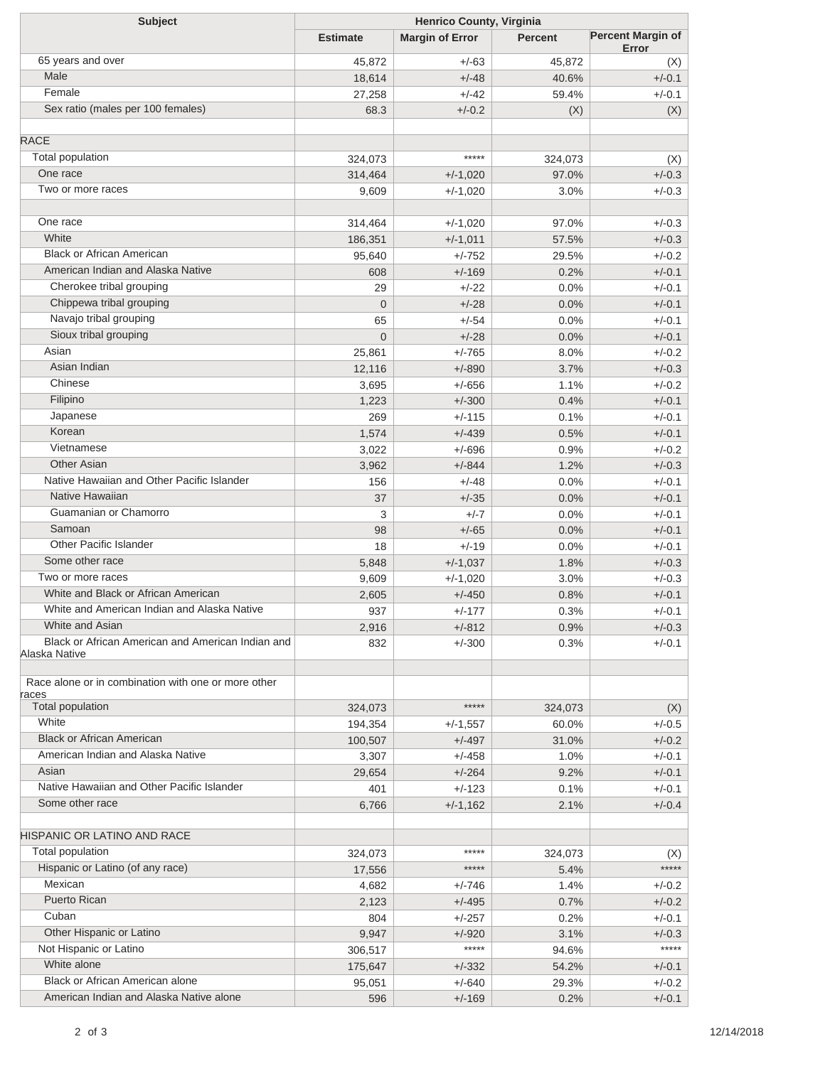| <b>Subject</b>                                               | Henrico County, Virginia |                        |                |                                   |  |
|--------------------------------------------------------------|--------------------------|------------------------|----------------|-----------------------------------|--|
|                                                              | <b>Estimate</b>          | <b>Margin of Error</b> | <b>Percent</b> | <b>Percent Margin of</b><br>Error |  |
| 65 years and over                                            | 45,872                   | $+/-63$                | 45,872         | (X)                               |  |
| Male                                                         | 18,614                   | $+/-48$                | 40.6%          | $+/-0.1$                          |  |
| Female                                                       | 27,258                   | $+/-42$                | 59.4%          | $+/-0.1$                          |  |
| Sex ratio (males per 100 females)                            | 68.3                     | $+/-0.2$               | (X)            | (X)                               |  |
|                                                              |                          |                        |                |                                   |  |
| <b>RACE</b>                                                  |                          |                        |                |                                   |  |
| <b>Total population</b>                                      | 324,073                  | *****                  | 324,073        | (X)                               |  |
| One race                                                     | 314,464                  | $+/-1,020$             | 97.0%          | $+/-0.3$                          |  |
| Two or more races                                            | 9,609                    | $+/-1,020$             | 3.0%           | $+/-0.3$                          |  |
| One race                                                     | 314,464                  | $+/-1,020$             | 97.0%          | $+/-0.3$                          |  |
| White                                                        | 186,351                  | $+/-1,011$             | 57.5%          | $+/-0.3$                          |  |
| <b>Black or African American</b>                             | 95,640                   | $+/-752$               | 29.5%          | $+/-0.2$                          |  |
| American Indian and Alaska Native                            | 608                      | $+/-169$               | 0.2%           | $+/-0.1$                          |  |
| Cherokee tribal grouping                                     | 29                       | $+/-22$                | 0.0%           | $+/-0.1$                          |  |
| Chippewa tribal grouping                                     | $\overline{0}$           | $+/-28$                | 0.0%           | $+/-0.1$                          |  |
| Navajo tribal grouping                                       | 65                       | $+/-54$                | 0.0%           | $+/-0.1$                          |  |
| Sioux tribal grouping                                        | $\mathbf{0}$             | $+/-28$                | 0.0%           | $+/-0.1$                          |  |
| Asian                                                        | 25,861                   | $+/-765$               | 8.0%           | $+/-0.2$                          |  |
| Asian Indian                                                 | 12,116                   | $+/-890$               | 3.7%           | $+/-0.3$                          |  |
| Chinese                                                      | 3,695                    | $+/-656$               | 1.1%           | $+/-0.2$                          |  |
| Filipino                                                     | 1,223                    | $+/-300$               | 0.4%           | $+/-0.1$                          |  |
| Japanese                                                     | 269                      |                        | 0.1%           | $+/-0.1$                          |  |
| Korean                                                       |                          | $+/-115$               |                |                                   |  |
| Vietnamese                                                   | 1,574                    | $+/-439$               | 0.5%           | $+/-0.1$                          |  |
| <b>Other Asian</b>                                           | 3,022                    | $+/-696$               | 0.9%           | $+/-0.2$                          |  |
|                                                              | 3,962                    | $+/-844$               | 1.2%           | $+/-0.3$                          |  |
| Native Hawaiian and Other Pacific Islander                   | 156                      | $+/-48$                | 0.0%           | $+/-0.1$                          |  |
| Native Hawaiian                                              | 37                       | $+/-35$                | 0.0%           | $+/-0.1$                          |  |
| Guamanian or Chamorro                                        | 3                        | $+/-7$                 | 0.0%           | $+/-0.1$                          |  |
| Samoan                                                       | 98                       | $+/-65$                | 0.0%           | $+/-0.1$                          |  |
| Other Pacific Islander                                       | 18                       | $+/-19$                | 0.0%           | $+/-0.1$                          |  |
| Some other race                                              | 5,848                    | $+/-1,037$             | 1.8%           | $+/-0.3$                          |  |
| Two or more races                                            | 9,609                    | $+/-1,020$             | 3.0%           | $+/-0.3$                          |  |
| White and Black or African American                          | 2,605                    | $+/-450$               | 0.8%           | $+/-0.1$                          |  |
| White and American Indian and Alaska Native                  | 937                      | $+/-177$               | 0.3%           | $+/-0.1$                          |  |
| White and Asian                                              | 2,916                    | $+/-812$               | 0.9%           | $+/-0.3$                          |  |
| Black or African American and American Indian and            | 832                      | $+/-300$               | 0.3%           | $+/-0.1$                          |  |
| Alaska Native                                                |                          |                        |                |                                   |  |
| Race alone or in combination with one or more other<br>races |                          |                        |                |                                   |  |
| <b>Total population</b>                                      | 324,073                  | *****                  | 324,073        | (X)                               |  |
| White                                                        | 194,354                  | $+/-1,557$             | 60.0%          | $+/-0.5$                          |  |
| <b>Black or African American</b>                             | 100,507                  | $+/-497$               | 31.0%          | $+/-0.2$                          |  |
| American Indian and Alaska Native                            | 3,307                    | $+/-458$               | 1.0%           | $+/-0.1$                          |  |
| Asian                                                        | 29,654                   | $+/-264$               | 9.2%           | $+/-0.1$                          |  |
| Native Hawaiian and Other Pacific Islander                   | 401                      | $+/-123$               | 0.1%           | $+/-0.1$                          |  |
| Some other race                                              |                          |                        |                | $+/-0.4$                          |  |
|                                                              | 6,766                    | $+/-1,162$             | 2.1%           |                                   |  |
| HISPANIC OR LATINO AND RACE                                  |                          |                        |                |                                   |  |
| Total population                                             | 324,073                  | *****                  | 324,073        | (X)                               |  |
| Hispanic or Latino (of any race)                             | 17,556                   | *****                  | 5.4%           | *****                             |  |
| Mexican                                                      | 4,682                    | +/-746                 | 1.4%           | $+/-0.2$                          |  |
| <b>Puerto Rican</b>                                          | 2,123                    | $+/-495$               | 0.7%           | $+/-0.2$                          |  |
| Cuban                                                        | 804                      | $+/-257$               | 0.2%           | $+/-0.1$                          |  |
| Other Hispanic or Latino                                     | 9,947                    | $+/-920$               | 3.1%           | $+/-0.3$                          |  |
| Not Hispanic or Latino                                       |                          | *****                  |                | *****                             |  |
| White alone                                                  | 306,517                  |                        | 94.6%          |                                   |  |
| Black or African American alone                              | 175,647                  | $+/-332$               | 54.2%          | $+/-0.1$                          |  |
|                                                              | 95,051                   | $+/-640$               | 29.3%          | $+/-0.2$                          |  |
| American Indian and Alaska Native alone                      | 596                      | $+/-169$               | 0.2%           | $+/-0.1$                          |  |